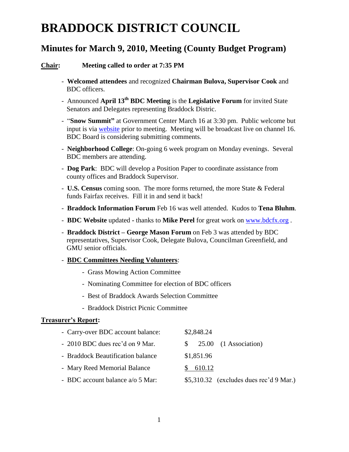# **BRADDOCK DISTRICT COUNCIL**

## **Minutes for March 9, 2010, Meeting (County Budget Program)**

#### **Chair: Meeting called to order at 7:35 PM**

- **Welcomed attendees** and recognized **Chairman Bulova, Supervisor Cook** and BDC officers.
- Announced **April 13th BDC Meeting** is the **Legislative Forum** for invited State Senators and Delegates representing Braddock Distric.
- "**Snow Summit"** at Government Center March 16 at 3:30 pm. Public welcome but input is via [website](http://www.fairfaxcounty.gov/news/snowsummit/) prior to meeting. Meeting will be broadcast live on channel 16. BDC Board is considering submitting comments.
- **Neighborhood College**: On-going 6 week program on Monday evenings. Several BDC members are attending.
- **Dog Park**: BDC will develop a Position Paper to coordinate assistance from county offices and Braddock Supervisor.
- **U.S. Census** coming soon. The more forms returned, the more State & Federal funds Fairfax receives. Fill it in and send it back!
- **Braddock Information Forum** Feb 16 was well attended. Kudos to **Tena Bluhm**.
- **BDC Website** updated **-** thanks to **Mike Perel** for great work on [www.bdcfx.org](http://www.bdcfx.org/) .
- **Braddock District – George Mason Forum** on Feb 3 was attended by BDC representatives, Supervisor Cook, Delegate Bulova, Councilman Greenfield, and GMU senior officials.

#### - **BDC Committees Needing Volunteers**:

- Grass Mowing Action Committee
- Nominating Committee for election of BDC officers
- Best of Braddock Awards Selection Committee
- Braddock District Picnic Committee

#### **Treasurer's Report:**

| - Carry-over BDC account balance: | \$2,848.24                              |
|-----------------------------------|-----------------------------------------|
| - 2010 BDC dues rec'd on 9 Mar.   | 25.00 (1 Association)<br>SS.            |
| - Braddock Beautification balance | \$1,851.96                              |
| - Mary Reed Memorial Balance      | 610.12                                  |
| - BDC account balance a/o 5 Mar:  | \$5,310.32 (excludes dues rec'd 9 Mar.) |
|                                   |                                         |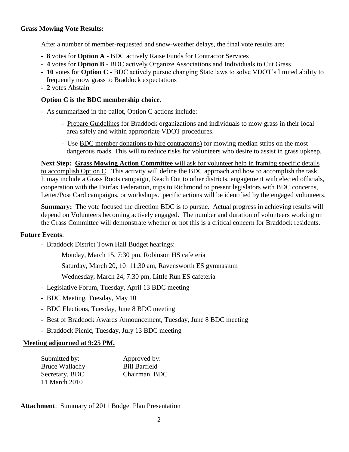#### **Grass Mowing Vote Results:**

After a number of member-requested and snow-weather delays, the final vote results are:

- **8** votes for **Option A** BDC actively Raise Funds for Contractor Services
- **4** votes for **Option B** BDC actively Organize Associations and Individuals to Cut Grass
- **10** votes for **Option C** BDC actively pursue changing State laws to solve VDOT's limited ability to frequently mow grass to Braddock expectations
- **2** votes Abstain

#### **Option C is the BDC membership choice**.

- As summarized in the ballot, Option C actions include:
	- -Prepare Guidelines for Braddock organizations and individuals to mow grass in their local area safely and within appropriate VDOT procedures.
	- -Use BDC member donations to hire contractor(s) for mowing median strips on the most dangerous roads. This will to reduce risks for volunteers who desire to assist in grass upkeep.

**Next Step: Grass Mowing Action Committee** will ask for volunteer help in framing specific details to accomplish Option C. This activity will define the BDC approach and how to accomplish the task. It may include a Grass Roots campaign, Reach Out to other districts, engagement with elected officials, cooperation with the Fairfax Federation, trips to Richmond to present legislators with BDC concerns, Letter/Post Card campaigns, or workshops. pecific actions will be identified by the engaged volunteers.

**Summary:** The vote focused the direction BDC is to pursue. Actual progress in achieving results will depend on Volunteers becoming actively engaged. The number and duration of volunteers working on the Grass Committee will demonstrate whether or not this is a critical concern for Braddock residents.

#### **Future Events**:

- Braddock District Town Hall Budget hearings:

Monday, March 15, 7:30 pm, Robinson HS cafeteria

Saturday, March 20, 10–11:30 am, Ravensworth ES gymnasium

Wednesday, March 24, 7:30 pm, Little Run ES cafeteria

- Legislative Forum, Tuesday, April 13 BDC meeting
- BDC Meeting, Tuesday, May 10
- BDC Elections, Tuesday, June 8 BDC meeting
- Best of Braddock Awards Announcement, Tuesday, June 8 BDC meeting
- Braddock Picnic, Tuesday, July 13 BDC meeting

#### **Meeting adjourned at 9:25 PM.**

| Submitted by:         | Approved by:         |
|-----------------------|----------------------|
| <b>Bruce Wallachy</b> | <b>Bill Barfield</b> |
| Secretary, BDC        | Chairman, BDC        |
| 11 March 2010         |                      |

### **Attachment**: Summary of 2011 Budget Plan Presentation